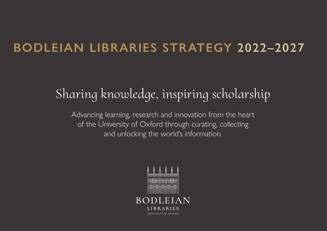## **BODLEIAN LIBRARIES STRATEGY 2022–2027**

# Sharing knowledge, inspiring scholarship

Advancing learning, research and innovation from the heart of the University of Oxford through curating, collecting and unlocking the world's information.

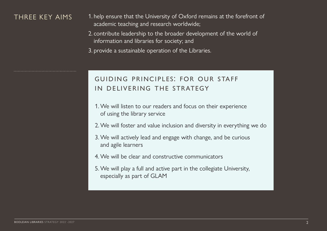## THREE KEY AIMS

- 1. help ensure that the University of Oxford remains at the forefront of academic teaching and research worldwide;
- 2. contribute leadership to the broader development of the world of information and libraries for society; and
- 3. provide a sustainable operation of the Libraries.

## guiding principles: for our staff in delivering the strategy

- 1. We will listen to our readers and focus on their experience of using the library service
- 2. We will foster and value inclusion and diversity in everything we do
- 3. We will actively lead and engage with change, and be curious and agile learners
- 4. We will be clear and constructive communicators
- 5. We will play a full and active part in the collegiate University, especially as part of GLAM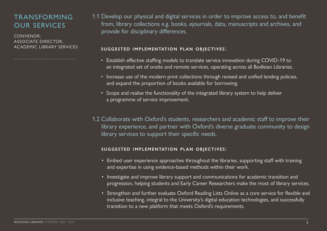## TRANSFORMING OUR SERVICES

CONVENOR: ASSOCIATE DIRECTOR, ACADEMIC LIBRARY SERVICES

1.1 Develop our physical and digital services in order to improve access to, and benefit from, library collections e.g. books, ejournals, data, manuscripts and archives, and provide for disciplinary differences.

## suggested implementation plan objectives:

- Establish effective staffing models to translate service innovation during COVID-19 to an integrated set of onsite and remote services, operating across all Bodleian Libraries.
- Increase use of the modern print collections through revised and unified lending policies, and expand the proportion of books available for borrowing.
- Scope and realise the functionality of the integrated library system to help deliver a programme of service improvement.
- 1.2 Collaborate with Oxford's students, researchers and academic staff to improve their library experience, and partner with Oxford's diverse graduate community to design library services to support their specific needs.

- Embed user experience approaches throughout the libraries, supporting staff with training and expertise in using evidence-based methods within their work.
- Investigate and improve library support and communications for academic transition and progression, helping students and Early Career Researchers make the most of library services.
- Strengthen and further evaluate Oxford Reading Lists Online as a core service for flexible and inclusive teaching, integral to the University's digital education technologies, and successfully transition to a new platform that meets Oxford's requirements.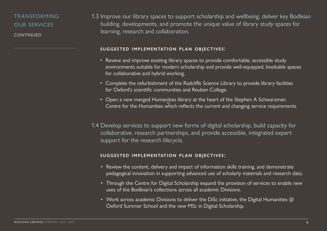## TRANSFORMING OUR SERVICES CONTINUED

1.3 Improve our library spaces to support scholarship and wellbeing, deliver key Bodleian building. developments, and promote the unique value of library study spaces for learning, research and collaboration.

#### suggested implementation plan objectives:

- Review and improve existing library spaces to provide comfortable, accessible study environments suitable for modern scholarship and provide well-equipped, bookable spaces for collaborative and hybrid working.
- Complete the refurbishment of the Radcliffe Science Library to provide library facilities for Oxford's scientific communities and Reuben College.
- Open a new merged Humanities library at the heart of the Stephen A Schwarzman Centre for the Humanities which reflects the current and changing service requirements
- 1.4 Develop services to support new forms of digital scholarship, build capacity for collaborative. research partnerships, and provide accessible, integrated expert support for the research lifecycle.

- Review the content, delivery and impact of information skills training, and demonstrate pedagogical innovation in supporting advanced use of scholarly materials and research data.
- Through the Centre for Digital Scholarship expand the provision of services to enable new uses of the Bodleian's collections across all academic Divisions.
- Work across academic Divisions to deliver the DiSc initiative, the Digital Humanities  $\omega$ Oxford Summer School and the new MSc in Digital Scholarship.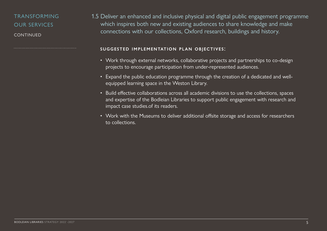## TRANSFORMING OUR SERVICES CONTINUED

1.5 Deliver an enhanced and inclusive physical and digital public engagement programme which inspires both new and existing audiences to share knowledge and make connections with our collections, Oxford research, buildings and history.

- Work through external networks, collaborative projects and partnerships to co-design projects to encourage participation from under-represented audiences.
- Expand the public education programme through the creation of a dedicated and wellequipped learning space in the Weston Library.
- Build effective collaborations across all academic divisions to use the collections, spaces and expertise of the Bodleian Libraries to support public engagement with research and impact case studies.of its readers.
- Work with the Museums to deliver additional offsite storage and access for researchers to collections.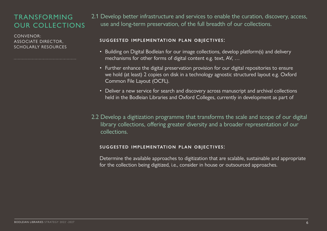## TRANSFORMING OUR COLLECTIONS

CONVENOR: ASSOCIATE DIRECTOR, SCHOLARLY RESOURCES

2.1 Develop better infrastructure and services to enable the curation, discovery, access, use and long-term preservation, of the full breadth of our collections.

## suggested implementation plan objectives:

- Building on Digital Bodleian for our image collections, develop platform(s) and delivery mechanisms for other forms of digital content e.g. text, AV, …
- Further enhance the digital preservation provision for our digital repositories to ensure we hold (at least) 2 copies on disk in a technology agnostic structured layout e.g. Oxford Common File Layout (OCFL).
- Deliver a new service for search and discovery across manuscript and archival collections held in the Bodleian Libraries and Oxford Colleges, currently in development as part of
- 2.2 Develop a digitization programme that transforms the scale and scope of our digital library collections, offering greater diversity and a broader representation of our collections.

## suggested implementation plan objectives:

Determine the available approaches to digitization that are scalable, sustainable and appropriate for the collection being digitized, i.e., consider in house or outsourced approaches.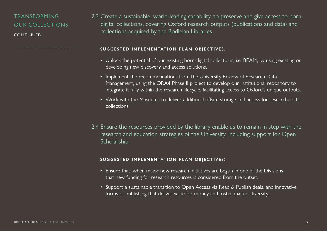## TRANSFORMING OUR COLLECTIONS

CONTINUED

2.3 Create a sustainable, world-leading capability, to preserve and give access to borndigital collections, covering Oxford research outputs (publications and data) and collections acquired by the Bodleian Libraries.

#### suggested implementation plan objectives:

- Unlock the potential of our existing born-digital collections, i.e. BEAM, by using existing or developing new discovery and access solutions.
- Implement the recommendations from the University Review of Research Data Management, using the ORA4 Phase II project to develop our institutional repository to integrate it fully within the research lifecycle, facilitating access to Oxford's unique outputs.
- Work with the Museums to deliver additional offsite storage and access for researchers to collections.
- 2.4 Ensure the resources provided by the library enable us to remain in step with the research and education strategies of the University, including support for Open Scholarship.

- Ensure that, when major new research initiatives are begun in one of the Divisions, that new funding for research resources is considered from the outset.
- Support a sustainable transition to Open Access via Read & Publish deals, and innovative forms of publishing that deliver value for money and foster market diversity.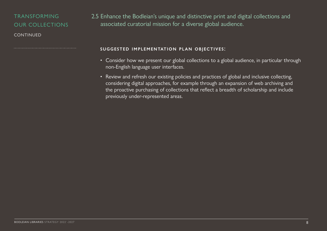## TRANSFORMING OUR COLLECTIONS

**CONTINUED** 

2.5 Enhance the Bodleian's unique and distinctive print and digital collections and associated curatorial mission for a diverse global audience.

- Consider how we present our global collections to a global audience, in particular through non-English language user interfaces.
- Review and refresh our existing policies and practices of global and inclusive collecting, considering digital approaches, for example through an expansion of web archiving and the proactive purchasing of collections that reflect a breadth of scholarship and include previously under-represented areas.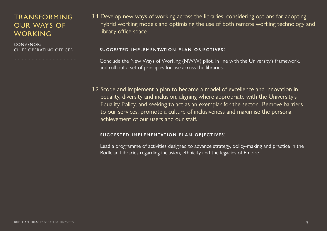## TRANSFORMING OUR WAYS OF WORKING

CONVENOR: CHIEF OPERATING OFFICER

3.1 Develop new ways of working across the libraries, considering options for adopting hybrid working models and optimising the use of both remote working technology and library office space.

## suggested implementation plan objectives:

Conclude the New Ways of Working (NWW) pilot, in line with the University's framework, and roll out a set of principles for use across the libraries.

3.2 Scope and implement a plan to become a model of excellence and innovation in equality, diversity and inclusion, aligning where appropriate with the University's Equality Policy, and seeking to act as an exemplar for the sector. Remove barriers to our services, promote a culture of inclusiveness and maximise the personal achievement of our users and our staff.

## suggested implementation plan objectives:

Lead a programme of activities designed to advance strategy, policy-making and practice in the Bodleian Libraries regarding inclusion, ethnicity and the legacies of Empire.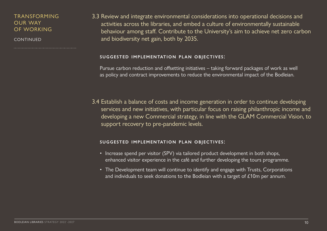## TRANSFORMING OUR WAY OF WORKING

CONTINUED

3.3 Review and integrate environmental considerations into operational decisions and activities across the libraries, and embed a culture of environmentally sustainable behaviour among staff. Contribute to the University's aim to achieve net zero carbon and biodiversity net gain, both by 2035.

#### suggested implementation plan objectives:

Pursue carbon reduction and offsetting initiatives – taking forward packages of work as well as policy and contract improvements to reduce the environmental impact of the Bodleian.

3.4 Establish a balance of costs and income generation in order to continue developing services and new initiatives, with particular focus on raising philanthropic income and developing a new Commercial strategy, in line with the GLAM Commercial Vision, to support recovery to pre-pandemic levels.

- Increase spend per visitor (SPV) via tailored product development in both shops, enhanced visitor experience in the café and further developing the tours programme.
- The Development team will continue to identify and engage with Trusts, Corporations and individuals to seek donations to the Bodleian with a target of £10m per annum.